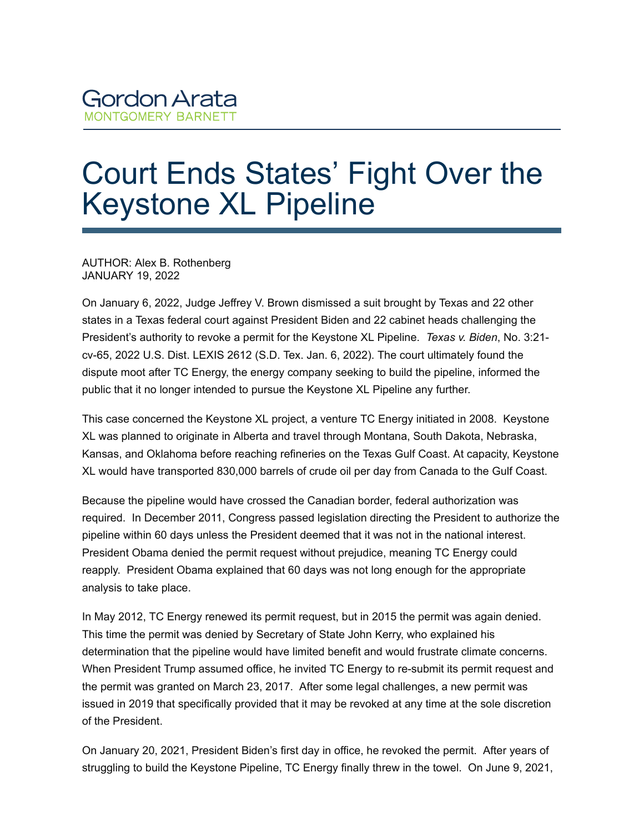## Court Ends States' Fight Over the Keystone XL Pipeline

AUTHOR: Alex B. Rothenberg JANUARY 19, 2022

On January 6, 2022, Judge Jeffrey V. Brown dismissed a suit brought by Texas and 22 other states in a Texas federal court against President Biden and 22 cabinet heads challenging the President's authority to revoke a permit for the Keystone XL Pipeline. *Texas v. Biden*, No. 3:21 cv-65, 2022 U.S. Dist. LEXIS 2612 (S.D. Tex. Jan. 6, 2022). The court ultimately found the dispute moot after TC Energy, the energy company seeking to build the pipeline, informed the public that it no longer intended to pursue the Keystone XL Pipeline any further.

This case concerned the Keystone XL project, a venture TC Energy initiated in 2008. Keystone XL was planned to originate in Alberta and travel through Montana, South Dakota, Nebraska, Kansas, and Oklahoma before reaching refineries on the Texas Gulf Coast. At capacity, Keystone XL would have transported 830,000 barrels of crude oil per day from Canada to the Gulf Coast.

Because the pipeline would have crossed the Canadian border, federal authorization was required. In December 2011, Congress passed legislation directing the President to authorize the pipeline within 60 days unless the President deemed that it was not in the national interest. President Obama denied the permit request without prejudice, meaning TC Energy could reapply. President Obama explained that 60 days was not long enough for the appropriate analysis to take place.

In May 2012, TC Energy renewed its permit request, but in 2015 the permit was again denied. This time the permit was denied by Secretary of State John Kerry, who explained his determination that the pipeline would have limited benefit and would frustrate climate concerns. When President Trump assumed office, he invited TC Energy to re-submit its permit request and the permit was granted on March 23, 2017. After some legal challenges, a new permit was issued in 2019 that specifically provided that it may be revoked at any time at the sole discretion of the President.

On January 20, 2021, President Biden's first day in office, he revoked the permit. After years of struggling to build the Keystone Pipeline, TC Energy finally threw in the towel. On June 9, 2021,